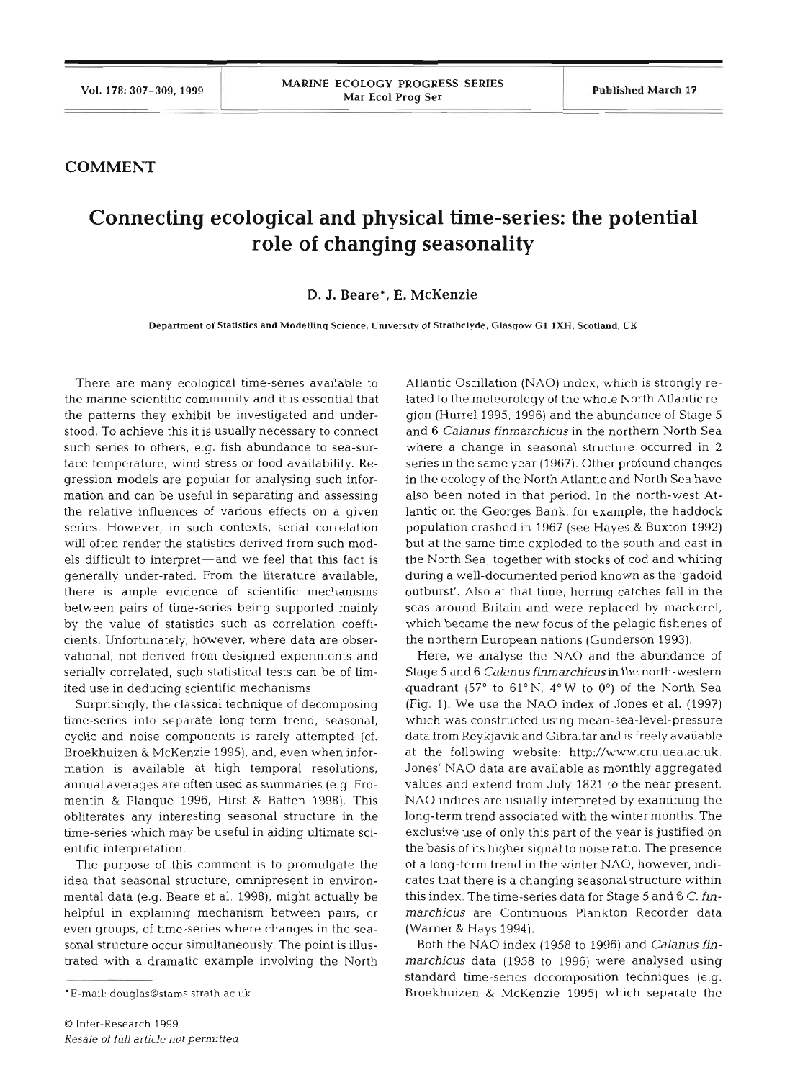## **COMMENT**

## **Connecting ecological and physical time-series: the potential role of changing seasonality**

## **D. J. Beare\*, E. McKenzie**

**Department of Statistics and Modelling Science. University of Strathclyde. Glasgow G1 IXH. Scotland. UK** 

There are many ecological time-series available to the marine scientific community and it is essential that the patterns they exhibit be investigated and understood. To achieve this it is usually necessary to connect such series to others, e.g. fish abundance to sea-surface temperature, wind stress or food availability. Regression models are popular for analysing such information and can be useful in separating and assessing the relative influences of various effects on a given series. However, in such contexts, serial correlation will often render the statistics derived from such models difficult to interpret—and we feel that this fact is generally under-rated. From the literature available, there is ample evidence of scientific mechanisms between pairs of time-series being supported mainly by the value of statistics such as correlation coefficients. Unfortunately, however, where data are observational, not derived from designed experiments and serially correlated, such statistical tests can be of limited use in deducing scientific mechanisms.

Surprisingly, the classical technique of decomposing time-series into separate long-term trend, seasonal, cyclic and noise components is rarely attempted (cf. Broekhuizen & McKenzie 1995), and, even when information is available at high temporal resolutions, annual averages are often used as summaries (e.g. Fromentin & Planque 1996, Hirst & Batten 1998). This obliterates any interesting seasonal structure in the time-series which may be useful in aiding ultimate scientific interpretation.

The purpose of this comment is to promulgate the idea that seasonal structure, omnipresent in environmental data (e.g. Beare et al. 1998), might actually be helpful in explaining mechanism between pairs, or even groups, of time-series where changes in the seasonal structure occur simultaneousiy. The point is illustrated with a dramatic example involving the North Atlantic Oscillation (NAO) index, which is strongly related to the meteorology of the whole North Atlantic region (Hurrel 1995, 1996) and the abundance of Stage 5 and *6 Calanus finrnarchicus* in the northern North Sea where a change in seasonal structure occurred in 2 series in the same year (1967). Other profound changes in the ecology of the North Atlantic and North Sea have also been noted in that period. In the north-west Atlantic on the Georges Bank, for example, the haddock population crashed in 1967 (see Hayes & Buxton 1992) but at the same time exploded to the south and east in the North Sea, together with stocks of cod and whiting during a well-documented period known as the 'gadoid outburst'. Also at that time, herring catches fell in the seas around Britain and were replaced by mackerel, which became the new focus of the pelagic fisheries of the northern European nations (Gunderson 1993).

Here, we analyse the NAO and the abundance of Stage 5 and 6 *Calanus finrnarchicus* in the north-western quadrant (57° to  $61^{\circ}$ N,  $4^{\circ}$ W to  $0^{\circ}$ ) of the North Sea (Fig. 1). We use the NAO index of Jones et al. (1997) which was constructed using mean-sea-level-pressure data from Reykjavik and Gibraltar and is freely available at the following website: http://www.cru.uea.ac.uk. Jones' NAO data are available as monthly aggregated values and extend from July 1821 to the near present. NAO indices are usually interpreted by examining the long-term trend associated with the winter months. The exclusive use of only this part of the year is justified on the basis of its higher signal to noise ratio. The presence of a long-term trend in the winter NAO, however, indicates that there is a changing seasonal structure within this index. The time-series data for Stage 5 and 6 C. *finmarchicus* are Continuous Plankton Recorder data (Warner & Hays 1994).

Both the NAO index (1958 to 1996) and *Calanus finrnarchicus* data (1958 to 1996) were analysed using standard time-series decomposition techniques (e.g. Broekhuizen & McKenzie 1995) which separate the

<sup>\*</sup>E-mail: douglas@stams.strath.ac.uk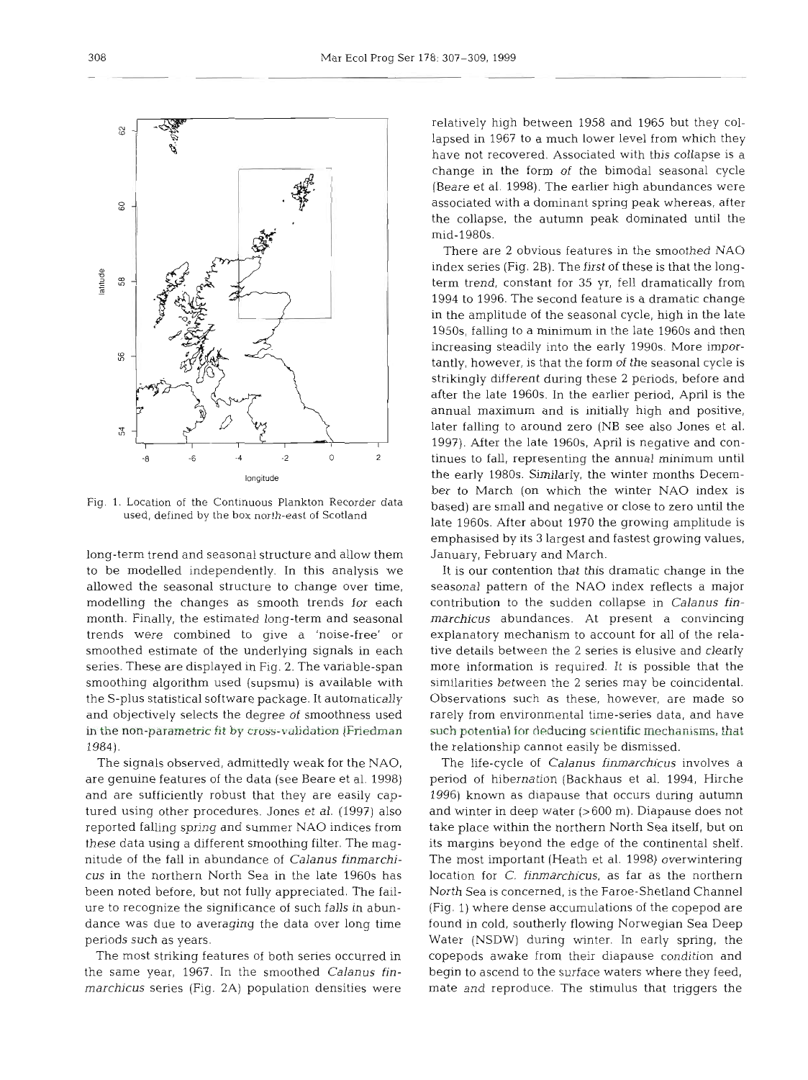relatively high between 1958 and 1965 but they collapsed in 1967 to a much lower level from which they have not recovered. Associated with this collapse is a change in the form of the bimodal seasonal cycle (Beare et al. 1998). The earlier high abundances were associated with a dominant spring peak whereas, after the collapse, the autumn peak dominated until the mid-1980s.

There are 2 obvious features in the smoothed NAO index series (Fig. 2B). The first of these is that the longterm trend, constant for 35 yr, fell dramatically from 1994 to 1996. The second feature is a dramatic change in the amplitude of the seasonal cycle, high in the late 1950s, falling to a minimum in the late 1960s and then increasing steadily into the early 1990s. More importantly, however, is that the form of the seasonal cycle is strikingly different during these **2** periods, before and after the late 1960s. In the earlier period, April is the annual maximum and is initially high and positive, later falling to around zero (NB see also Jones et al. 1997). After the late 1960s, April is negative and continues to fall, representing the annual minimum until the early 1980s. Similarly, the winter months December to March (on which the winter NAO index is based) are small and negative or close to zero until the late 1960s. After about 1970 the growing amplitude is emphasised by its **3** largest and fastest growing values, January, February and March.

It is our contention that this dramatic change in the seasonal pattern of the NAO index reflects a major contribution to the sudden collapse in *Calanus finmarchicus* abundances. At present a convincing explanatory mechanism to account for all of the relative details between the 2 series is elusive and clearly more information is required. It is possible that the similarities between the 2 series may be coincidental. Observations such as these, however, are made so rarely from environmental time-series data, and have such **potential for** deducing scientific **mechanisms, that**  the relationship cannot easily be dismissed.

The life-cycle of *Calanus finmarchicus* involves a period of hibernation (Backhaus et al. 1994, Hirche 1996) known as diapause that occurs during autumn and winter in deep water (>600 m). Diapause does not take place within the northern North Sea itself, but on its margins beyond the edge of the continental shelf. The most important (Heath et al. 1998) overwintering location for C. *finmarchicus,* as far as the northern North Sea is concerned, is the Faroe-Shetland Channel (Fig. 1) where dense accumulations of the copepod are found in cold, southerly flowing Norwegian Sea Deep Water (NSDW) during winter. In early spring, the copepods awake from their diapause condition and begin to ascend to the surface waters where they feed, mate and reproduce. The stimulus that triggers the

Fig. **1.** Location of the Continuous Plankton Recorder data used, defined by the box north-east of Scotland

long-term trend and seasonal structure and allow them to be modelled independently. In this analysis we allowed the seasonal structure to change over time, modelling the changes as smooth trends for each month. Finally, the estimated long-term and seasonal trends were combined to give a 'noise-free' or smoothed estimate of the underlying signals in each series. These are displayed in Fig. 2. The variable-span smoothing algorithm used (supsmu) is available with the S-plus statistical software package. It automatically and objectively selects the degree of smoothness used in the **non-parametric** fit by cross-validation **(Friedman**  1984).

The signals observed, admittedly weak for the NAO, are genuine features of the data (see Beare et al. 1998) and are sufficiently robust that they are easily captured using other procedures. Jones et al. (1997) also reported falling spring and summer NAO indices from these data using a different smoothing filter. The magnitude of the fall in abundance of *Calanus finmarchicus* in the northern North Sea in the late 1960s has been noted before, but not fully appreciated. The failure to recognize the significance of such falls in abundance was due to averaging the data over long time periods such as years.

The most striking features of both series occurred in the same year, 1967. In the smoothed *Calanus finmarchicus* series (Fig. 2A) population densities were